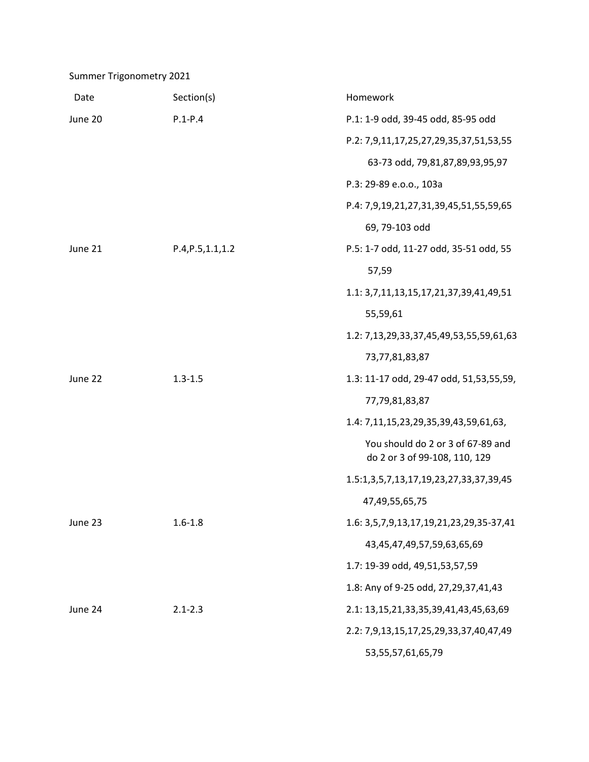Summer Trigonometry 2021

| Date    | Section(s)         | Homework                                                           |
|---------|--------------------|--------------------------------------------------------------------|
| June 20 | $P.1 - P.4$        | P.1: 1-9 odd, 39-45 odd, 85-95 odd                                 |
|         |                    | P.2: 7,9,11,17,25,27,29,35,37,51,53,55                             |
|         |                    | 63-73 odd, 79,81,87,89,93,95,97                                    |
|         |                    | P.3: 29-89 e.o.o., 103a                                            |
|         |                    | P.4: 7,9,19,21,27,31,39,45,51,55,59,65                             |
|         |                    | 69, 79-103 odd                                                     |
| June 21 | P.4, P.5, 1.1, 1.2 | P.5: 1-7 odd, 11-27 odd, 35-51 odd, 55                             |
|         |                    | 57,59                                                              |
|         |                    | 1.1: 3,7,11,13,15,17,21,37,39,41,49,51                             |
|         |                    | 55,59,61                                                           |
|         |                    | 1.2: 7,13,29,33,37,45,49,53,55,59,61,63                            |
|         |                    | 73,77,81,83,87                                                     |
| June 22 | $1.3 - 1.5$        | 1.3: 11-17 odd, 29-47 odd, 51,53,55,59,                            |
|         |                    | 77,79,81,83,87                                                     |
|         |                    | 1.4: 7,11,15,23,29,35,39,43,59,61,63,                              |
|         |                    | You should do 2 or 3 of 67-89 and<br>do 2 or 3 of 99-108, 110, 129 |
|         |                    | 1.5:1,3,5,7,13,17,19,23,27,33,37,39,45                             |
|         |                    | 47,49,55,65,75                                                     |
| June 23 | $1.6 - 1.8$        | 1.6: 3,5,7,9,13,17,19,21,23,29,35-37,41                            |
|         |                    | 43,45,47,49,57,59,63,65,69                                         |
|         |                    | 1.7: 19-39 odd, 49,51,53,57,59                                     |
|         |                    | 1.8: Any of 9-25 odd, 27, 29, 37, 41, 43                           |
| June 24 | $2.1 - 2.3$        | 2.1: 13, 15, 21, 33, 35, 39, 41, 43, 45, 63, 69                    |
|         |                    | 2.2: 7,9,13,15,17,25,29,33,37,40,47,49                             |
|         |                    | 53, 55, 57, 61, 65, 79                                             |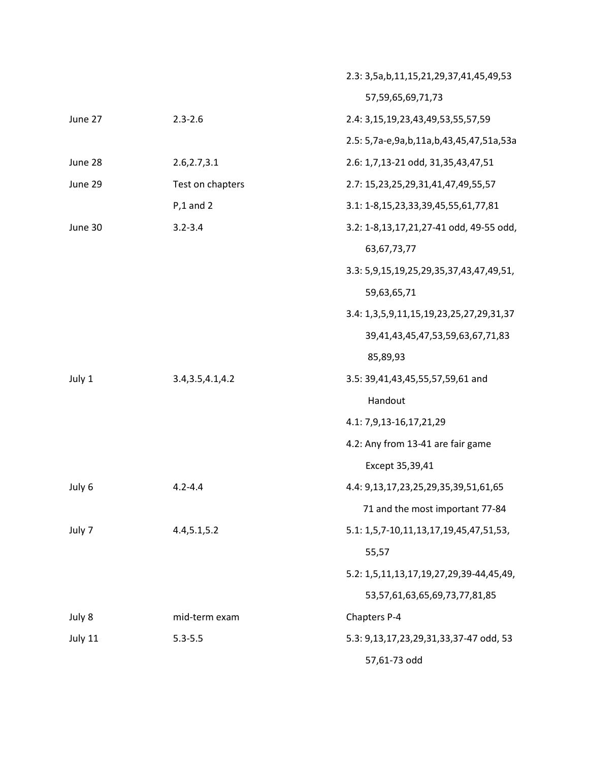|         |                    | 2.3: 3,5a,b,11,15,21,29,37,41,45,49,53       |
|---------|--------------------|----------------------------------------------|
|         |                    | 57,59,65,69,71,73                            |
| June 27 | $2.3 - 2.6$        | 2.4: 3,15,19,23,43,49,53,55,57,59            |
|         |                    | 2.5: 5,7a-e,9a,b,11a,b,43,45,47,51a,53a      |
| June 28 | 2.6, 2.7, 3.1      | 2.6: 1,7,13-21 odd, 31,35,43,47,51           |
| June 29 | Test on chapters   | 2.7: 15,23,25,29,31,41,47,49,55,57           |
|         | $P, 1$ and 2       | 3.1: 1-8, 15, 23, 33, 39, 45, 55, 61, 77, 81 |
| June 30 | $3.2 - 3.4$        | 3.2: 1-8,13,17,21,27-41 odd, 49-55 odd,      |
|         |                    | 63, 67, 73, 77                               |
|         |                    | 3.3: 5,9,15,19,25,29,35,37,43,47,49,51,      |
|         |                    | 59,63,65,71                                  |
|         |                    | 3.4: 1,3,5,9,11,15,19,23,25,27,29,31,37      |
|         |                    | 39,41,43,45,47,53,59,63,67,71,83             |
|         |                    | 85,89,93                                     |
| July 1  | 3.4, 3.5, 4.1, 4.2 | 3.5: 39,41,43,45,55,57,59,61 and             |
|         |                    | Handout                                      |
|         |                    | 4.1: 7,9,13-16,17,21,29                      |
|         |                    | 4.2: Any from 13-41 are fair game            |
|         |                    | Except 35,39,41                              |
| July 6  | $4.2 - 4.4$        | 4.4: 9,13,17,23,25,29,35,39,51,61,65         |
|         |                    | 71 and the most important 77-84              |
| July 7  | 4.4, 5.1, 5.2      | 5.1: 1,5,7-10,11,13,17,19,45,47,51,53,       |
|         |                    | 55,57                                        |
|         |                    | 5.2: 1,5,11,13,17,19,27,29,39-44,45,49,      |
|         |                    | 53,57,61,63,65,69,73,77,81,85                |
| July 8  | mid-term exam      | Chapters P-4                                 |
| July 11 | $5.3 - 5.5$        | 5.3: 9,13,17,23,29,31,33,37-47 odd, 53       |
|         |                    | 57,61-73 odd                                 |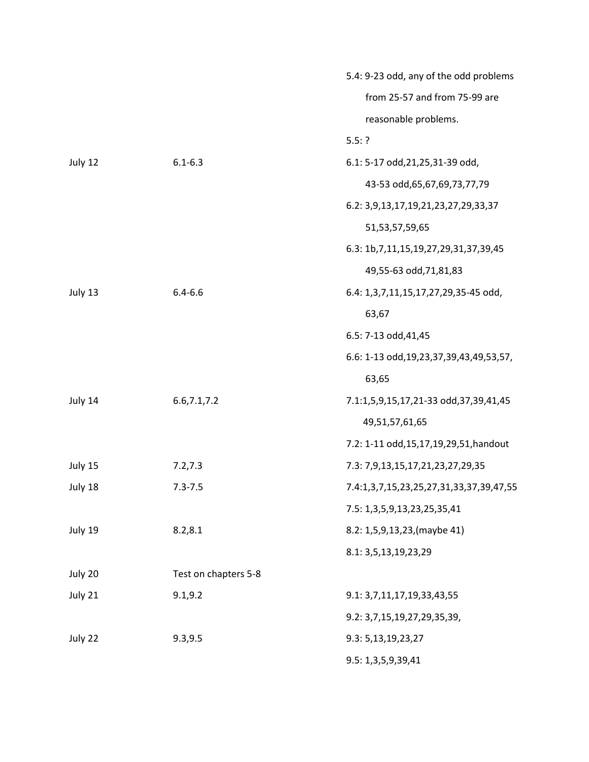|         |                      | 5.4: 9-23 odd, any of the odd problems         |
|---------|----------------------|------------------------------------------------|
|         |                      | from 25-57 and from 75-99 are                  |
|         |                      | reasonable problems.                           |
|         |                      | 5.5:?                                          |
| July 12 | $6.1 - 6.3$          | 6.1: 5-17 odd, 21, 25, 31-39 odd,              |
|         |                      | 43-53 odd, 65, 67, 69, 73, 77, 79              |
|         |                      | 6.2: 3,9,13,17,19,21,23,27,29,33,37            |
|         |                      | 51, 53, 57, 59, 65                             |
|         |                      | 6.3: 1b, 7, 11, 15, 19, 27, 29, 31, 37, 39, 45 |
|         |                      | 49,55-63 odd,71,81,83                          |
| July 13 | $6.4 - 6.6$          | 6.4: 1,3,7,11,15,17,27,29,35-45 odd,           |
|         |                      | 63,67                                          |
|         |                      | 6.5: 7-13 odd, 41, 45                          |
|         |                      | 6.6: 1-13 odd, 19, 23, 37, 39, 43, 49, 53, 57, |
|         |                      | 63,65                                          |
| July 14 | 6.6, 7.1, 7.2        | 7.1:1,5,9,15,17,21-33 odd,37,39,41,45          |
|         |                      | 49,51,57,61,65                                 |
|         |                      | 7.2: 1-11 odd, 15, 17, 19, 29, 51, handout     |
| July 15 | 7.2, 7.3             | 7.3: 7,9,13,15,17,21,23,27,29,35               |
| July 18 | $7.3 - 7.5$          | 7.4:1,3,7,15,23,25,27,31,33,37,39,47,55        |
|         |                      | 7.5: 1,3,5,9,13,23,25,35,41                    |
| July 19 | 8.2, 8.1             | 8.2: 1,5,9,13,23, (maybe 41)                   |
|         |                      | 8.1: 3,5,13,19,23,29                           |
| July 20 | Test on chapters 5-8 |                                                |
| July 21 | 9.1, 9.2             | 9.1: 3,7,11,17,19,33,43,55                     |
|         |                      | 9.2: 3,7,15,19,27,29,35,39,                    |
| July 22 | 9.3, 9.5             | 9.3: 5,13,19,23,27                             |
|         |                      | 9.5: 1,3,5,9,39,41                             |